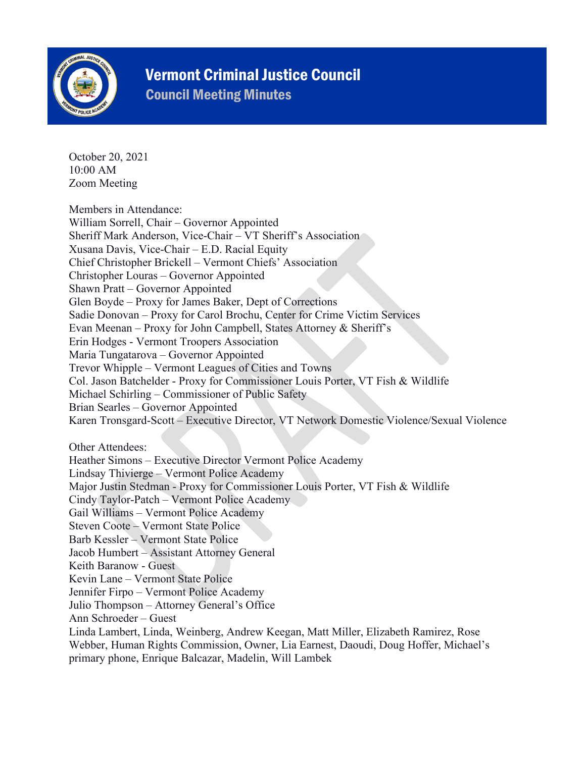

## Vermont Criminal Justice Council

Council Meeting Minutes

October 20, 2021 10:00 AM Zoom Meeting

Members in Attendance: William Sorrell, Chair – Governor Appointed Sheriff Mark Anderson, Vice-Chair – VT Sheriff's Association Xusana Davis, Vice-Chair – E.D. Racial Equity Chief Christopher Brickell – Vermont Chiefs' Association Christopher Louras – Governor Appointed Shawn Pratt – Governor Appointed Glen Boyde – Proxy for James Baker, Dept of Corrections Sadie Donovan – Proxy for Carol Brochu, Center for Crime Victim Services Evan Meenan – Proxy for John Campbell, States Attorney & Sheriff's Erin Hodges - Vermont Troopers Association Maria Tungatarova – Governor Appointed Trevor Whipple – Vermont Leagues of Cities and Towns Col. Jason Batchelder - Proxy for Commissioner Louis Porter, VT Fish & Wildlife Michael Schirling – Commissioner of Public Safety Brian Searles – Governor Appointed Karen Tronsgard-Scott – Executive Director, VT Network Domestic Violence/Sexual Violence Other Attendees: Heather Simons – Executive Director Vermont Police Academy Lindsay Thivierge – Vermont Police Academy Major Justin Stedman - Proxy for Commissioner Louis Porter, VT Fish & Wildlife Cindy Taylor-Patch – Vermont Police Academy Gail Williams – Vermont Police Academy Steven Coote – Vermont State Police Barb Kessler – Vermont State Police Jacob Humbert – Assistant Attorney General Keith Baranow - Guest Kevin Lane – Vermont State Police Jennifer Firpo – Vermont Police Academy Julio Thompson – Attorney General's Office Ann Schroeder – Guest Linda Lambert, Linda, Weinberg, Andrew Keegan, Matt Miller, Elizabeth Ramirez, Rose Webber, Human Rights Commission, Owner, Lia Earnest, Daoudi, Doug Hoffer, Michael's primary phone, Enrique Balcazar, Madelin, Will Lambek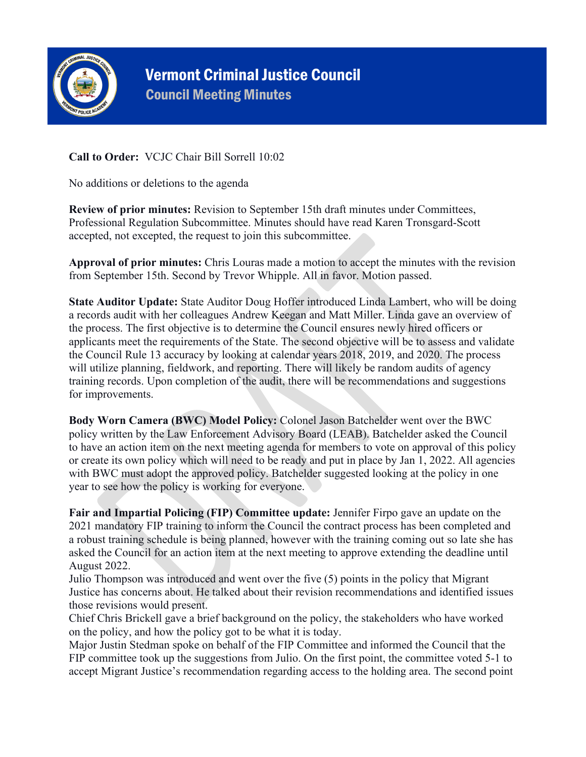

## Vermont Criminal Justice Council Council Meeting Minutes

## **Call to Order:** VCJC Chair Bill Sorrell 10:02

No additions or deletions to the agenda

**Review of prior minutes:** Revision to September 15th draft minutes under Committees, Professional Regulation Subcommittee. Minutes should have read Karen Tronsgard-Scott accepted, not excepted, the request to join this subcommittee.

**Approval of prior minutes:** Chris Louras made a motion to accept the minutes with the revision from September 15th. Second by Trevor Whipple. All in favor. Motion passed.

**State Auditor Update:** State Auditor Doug Hoffer introduced Linda Lambert, who will be doing a records audit with her colleagues Andrew Keegan and Matt Miller. Linda gave an overview of the process. The first objective is to determine the Council ensures newly hired officers or applicants meet the requirements of the State. The second objective will be to assess and validate the Council Rule 13 accuracy by looking at calendar years 2018, 2019, and 2020. The process will utilize planning, fieldwork, and reporting. There will likely be random audits of agency training records. Upon completion of the audit, there will be recommendations and suggestions for improvements.

**Body Worn Camera (BWC) Model Policy:** Colonel Jason Batchelder went over the BWC policy written by the Law Enforcement Advisory Board (LEAB). Batchelder asked the Council to have an action item on the next meeting agenda for members to vote on approval of this policy or create its own policy which will need to be ready and put in place by Jan 1, 2022. All agencies with BWC must adopt the approved policy. Batchelder suggested looking at the policy in one year to see how the policy is working for everyone.

**Fair and Impartial Policing (FIP) Committee update:** Jennifer Firpo gave an update on the 2021 mandatory FIP training to inform the Council the contract process has been completed and a robust training schedule is being planned, however with the training coming out so late she has asked the Council for an action item at the next meeting to approve extending the deadline until August 2022.

Julio Thompson was introduced and went over the five (5) points in the policy that Migrant Justice has concerns about. He talked about their revision recommendations and identified issues those revisions would present.

Chief Chris Brickell gave a brief background on the policy, the stakeholders who have worked on the policy, and how the policy got to be what it is today.

Major Justin Stedman spoke on behalf of the FIP Committee and informed the Council that the FIP committee took up the suggestions from Julio. On the first point, the committee voted 5-1 to accept Migrant Justice's recommendation regarding access to the holding area. The second point